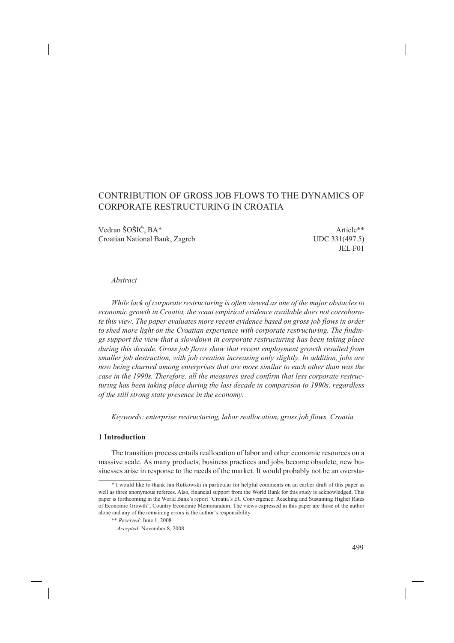# CONTRIBUTION OF GROSS JOB FLOWS TO THE DYNAMICS OF CORPORATE RESTRUCTURING IN CROATIA

Vedran ŠOŠIĆ, BA\* Article\*\* Croatian National Bank, Zagreb UDC 331(497.5)

JEL F01

### *Abstract*

*While lack of corporate restructuring is often viewed as one of the major obstacles to economic growth in Croatia, the scant empirical evidence available does not corroborate this view. The paper evaluates more recent evidence based on gross job flows in order to shed more light on the Croatian experience with corporate restructuring. The findings support the view that a slowdown in corporate restructuring has been taking place during this decade. Gross job flows show that recent employment growth resulted from smaller job destruction, with job creation increasing only slightly. In addition, jobs are now being churned among enterprises that are more similar to each other than was the case in the 1990s. Therefore, all the measures used confirm that less corporate restructuring has been taking place during the last decade in comparison to 1990s, regardless of the still strong state presence in the economy.*

*Keywords: enterprise restructuring, labor reallocation, gross job flows, Croatia*

#### **1 Introduction**

The transition process entails reallocation of labor and other economic resources on a massive scale. As many products, business practices and jobs become obsolete, new businesses arise in response to the needs of the market. It would probably not be an oversta-

<sup>\*</sup> I would like to thank Jan Rutkowski in particular for helpful comments on an earlier draft of this paper as well as three anonymous referees. Also, financial support from the World Bank for this study is acknowledged. This paper is forthcoming in the World Bank's report "Croatia's EU Convergence: Reaching and Sustaining Higher Rates of Economic Growth", Country Economic Memorandum. The views expressed in this paper are those of the author alone and any of the remaining errors is the author's responsibility.

<sup>\*\*</sup> *Received:* June 1, 2008

*Accepted:* November 8, 2008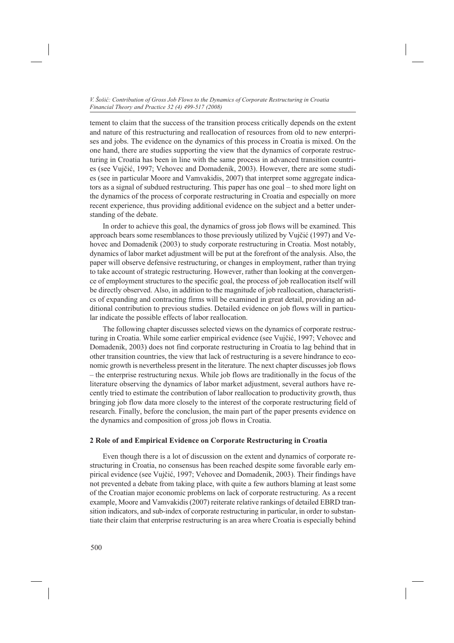tement to claim that the success of the transition process critically depends on the extent and nature of this restructuring and reallocation of resources from old to new enterprises and jobs. The evidence on the dynamics of this process in Croatia is mixed. On the one hand, there are studies supporting the view that the dynamics of corporate restructuring in Croatia has been in line with the same process in advanced transition countries (see Vujčić, 1997; Vehovec and Domadenik, 2003). However, there are some studies (see in particular Moore and Vamvakidis, 2007) that interpret some aggregate indicators as a signal of subdued restructuring. This paper has one goal – to shed more light on the dynamics of the process of corporate restructuring in Croatia and especially on more recent experience, thus providing additional evidence on the subject and a better understanding of the debate.

In order to achieve this goal, the dynamics of gross job flows will be examined. This approach bears some resemblances to those previously utilized by Vujčić (1997) and Vehovec and Domadenik (2003) to study corporate restructuring in Croatia. Most notably, dynamics of labor market adjustment will be put at the forefront of the analysis. Also, the paper will observe defensive restructuring, or changes in employment, rather than trying to take account of strategic restructuring. However, rather than looking at the convergence of employment structures to the specific goal, the process of job reallocation itself will be directly observed. Also, in addition to the magnitude of job reallocation, characteristics of expanding and contracting firms will be examined in great detail, providing an additional contribution to previous studies. Detailed evidence on job flows will in particular indicate the possible effects of labor reallocation.

The following chapter discusses selected views on the dynamics of corporate restructuring in Croatia. While some earlier empirical evidence (see Vujčić, 1997; Vehovec and Domadenik, 2003) does not find corporate restructuring in Croatia to lag behind that in other transition countries, the view that lack of restructuring is a severe hindrance to economic growth is nevertheless present in the literature. The next chapter discusses job flows – the enterprise restructuring nexus. While job flows are traditionally in the focus of the literature observing the dynamics of labor market adjustment, several authors have recently tried to estimate the contribution of labor reallocation to productivity growth, thus bringing job flow data more closely to the interest of the corporate restructuring field of research. Finally, before the conclusion, the main part of the paper presents evidence on the dynamics and composition of gross job flows in Croatia.

#### **2 Role of and Empirical Evidence on Corporate Restructuring in Croatia**

Even though there is a lot of discussion on the extent and dynamics of corporate restructuring in Croatia, no consensus has been reached despite some favorable early empirical evidence (see Vujčić, 1997; Vehovec and Domadenik, 2003). Their findings have not prevented a debate from taking place, with quite a few authors blaming at least some of the Croatian major economic problems on lack of corporate restructuring. As a recent example, Moore and Vamvakidis (2007) reiterate relative rankings of detailed EBRD transition indicators, and sub-index of corporate restructuring in particular, in order to substantiate their claim that enterprise restructuring is an area where Croatia is especially behind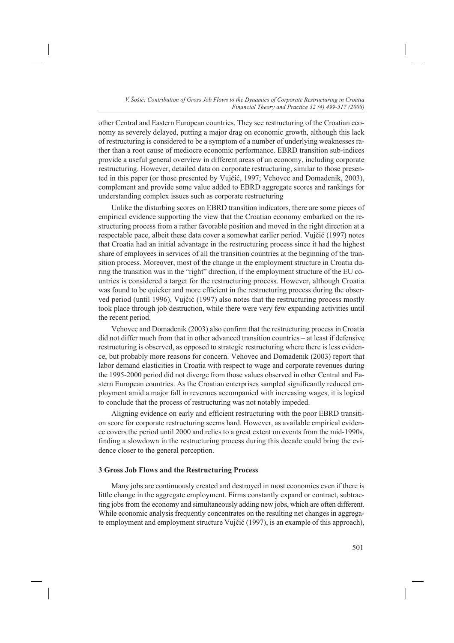other Central and Eastern European countries. They see restructuring of the Croatian economy as severely delayed, putting a major drag on economic growth, although this lack of restructuring is considered to be a symptom of a number of underlying weaknesses rather than a root cause of mediocre economic performance. EBRD transition sub-indices provide a useful general overview in different areas of an economy, including corporate restructuring. However, detailed data on corporate restructuring, similar to those presented in this paper (or those presented by Vujčić, 1997; Vehovec and Domadenik, 2003), complement and provide some value added to EBRD aggregate scores and rankings for understanding complex issues such as corporate restructuring

Unlike the disturbing scores on EBRD transition indicators, there are some pieces of empirical evidence supporting the view that the Croatian economy embarked on the restructuring process from a rather favorable position and moved in the right direction at a respectable pace, albeit these data cover a somewhat earlier period. Vujčić (1997) notes that Croatia had an initial advantage in the restructuring process since it had the highest share of employees in services of all the transition countries at the beginning of the transition process. Moreover, most of the change in the employment structure in Croatia during the transition was in the "right" direction, if the employment structure of the EU countries is considered a target for the restructuring process. However, although Croatia was found to be quicker and more efficient in the restructuring process during the observed period (until 1996), Vujčić (1997) also notes that the restructuring process mostly took place through job destruction, while there were very few expanding activities until the recent period.

Vehovec and Domadenik (2003) also confirm that the restructuring process in Croatia did not differ much from that in other advanced transition countries – at least if defensive restructuring is observed, as opposed to strategic restructuring where there is less evidence, but probably more reasons for concern. Vehovec and Domadenik (2003) report that labor demand elasticities in Croatia with respect to wage and corporate revenues during the 1995-2000 period did not diverge from those values observed in other Central and Eastern European countries. As the Croatian enterprises sampled significantly reduced employment amid a major fall in revenues accompanied with increasing wages, it is logical to conclude that the process of restructuring was not notably impeded.

Aligning evidence on early and efficient restructuring with the poor EBRD transition score for corporate restructuring seems hard. However, as available empirical evidence covers the period until 2000 and relies to a great extent on events from the mid-1990s, finding a slowdown in the restructuring process during this decade could bring the evidence closer to the general perception.

#### **3 Gross Job Flows and the Restructuring Process**

Many jobs are continuously created and destroyed in most economies even if there is little change in the aggregate employment. Firms constantly expand or contract, subtracting jobs from the economy and simultaneously adding new jobs, which are often different. While economic analysis frequently concentrates on the resulting net changes in aggregate employment and employment structure Vujčić (1997), is an example of this approach),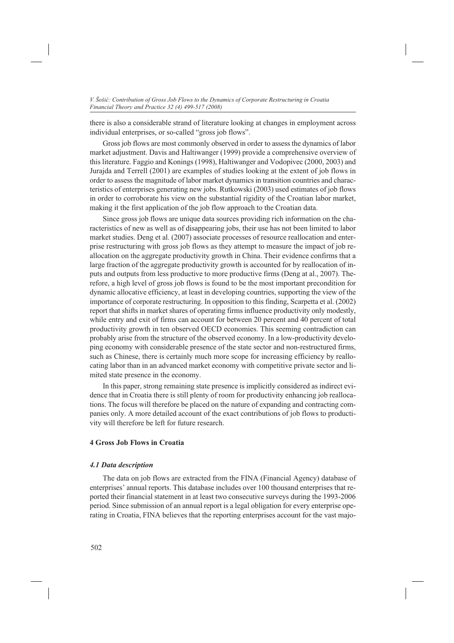there is also a considerable strand of literature looking at changes in employment across individual enterprises, or so-called "gross job flows".

Gross job flows are most commonly observed in order to assess the dynamics of labor market adjustment. Davis and Haltiwanger (1999) provide a comprehensive overview of this literature. Faggio and Konings (1998), Haltiwanger and Vodopivec (2000, 2003) and Jurajda and Terrell (2001) are examples of studies looking at the extent of job flows in order to assess the magnitude of labor market dynamics in transition countries and characteristics of enterprises generating new jobs. Rutkowski (2003) used estimates of job flows in order to corroborate his view on the substantial rigidity of the Croatian labor market, making it the first application of the job flow approach to the Croatian data.

Since gross job flows are unique data sources providing rich information on the characteristics of new as well as of disappearing jobs, their use has not been limited to labor market studies. Deng et al. (2007) associate processes of resource reallocation and enterprise restructuring with gross job flows as they attempt to measure the impact of job reallocation on the aggregate productivity growth in China. Their evidence confirms that a large fraction of the aggregate productivity growth is accounted for by reallocation of inputs and outputs from less productive to more productive firms (Deng at al., 2007). Therefore, a high level of gross job flows is found to be the most important precondition for dynamic allocative efficiency, at least in developing countries, supporting the view of the importance of corporate restructuring. In opposition to this finding, Scarpetta et al. (2002) report that shifts in market shares of operating firms influence productivity only modestly, while entry and exit of firms can account for between 20 percent and 40 percent of total productivity growth in ten observed OECD economies. This seeming contradiction can probably arise from the structure of the observed economy. In a low-productivity developing economy with considerable presence of the state sector and non-restructured firms, such as Chinese, there is certainly much more scope for increasing efficiency by reallocating labor than in an advanced market economy with competitive private sector and limited state presence in the economy.

In this paper, strong remaining state presence is implicitly considered as indirect evidence that in Croatia there is still plenty of room for productivity enhancing job reallocations. The focus will therefore be placed on the nature of expanding and contracting companies only. A more detailed account of the exact contributions of job flows to productivity will therefore be left for future research.

#### **4 Gross Job Flows in Croatia**

#### *4.1 Data description*

The data on job flows are extracted from the FINA (Financial Agency) database of enterprises' annual reports. This database includes over 100 thousand enterprises that reported their financial statement in at least two consecutive surveys during the 1993-2006 period. Since submission of an annual report is a legal obligation for every enterprise operating in Croatia, FINA believes that the reporting enterprises account for the vast majo-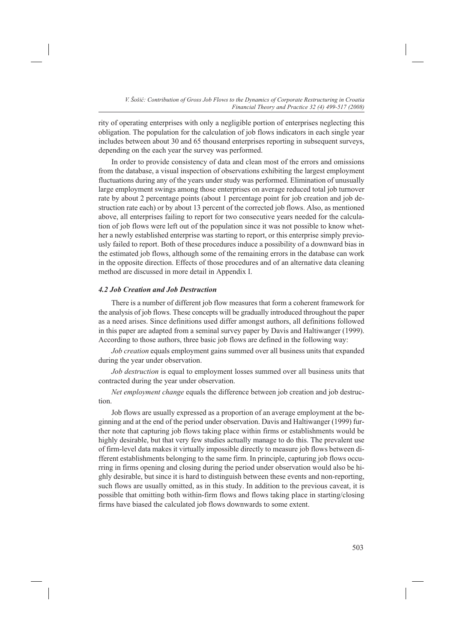rity of operating enterprises with only a negligible portion of enterprises neglecting this obligation. The population for the calculation of job flows indicators in each single year includes between about 30 and 65 thousand enterprises reporting in subsequent surveys, depending on the each year the survey was performed.

In order to provide consistency of data and clean most of the errors and omissions from the database, a visual inspection of observations exhibiting the largest employment fluctuations during any of the years under study was performed. Elimination of unusually large employment swings among those enterprises on average reduced total job turnover rate by about 2 percentage points (about 1 percentage point for job creation and job destruction rate each) or by about 13 percent of the corrected job flows. Also, as mentioned above, all enterprises failing to report for two consecutive years needed for the calculation of job flows were left out of the population since it was not possible to know whether a newly established enterprise was starting to report, or this enterprise simply previously failed to report. Both of these procedures induce a possibility of a downward bias in the estimated job flows, although some of the remaining errors in the database can work in the opposite direction. Effects of those procedures and of an alternative data cleaning method are discussed in more detail in Appendix I.

## *4.2 Job Creation and Job Destruction*

There is a number of different job flow measures that form a coherent framework for the analysis of job flows. These concepts will be gradually introduced throughout the paper as a need arises. Since definitions used differ amongst authors, all definitions followed in this paper are adapted from a seminal survey paper by Davis and Haltiwanger (1999). According to those authors, three basic job flows are defined in the following way:

*Job creation* equals employment gains summed over all business units that expanded during the year under observation.

*Job destruction* is equal to employment losses summed over all business units that contracted during the year under observation.

*Net employment change* equals the difference between job creation and job destruction.

Job flows are usually expressed as a proportion of an average employment at the beginning and at the end of the period under observation. Davis and Haltiwanger (1999) further note that capturing job flows taking place within firms or establishments would be highly desirable, but that very few studies actually manage to do this. The prevalent use of firm-level data makes it virtually impossible directly to measure job flows between different establishments belonging to the same firm. In principle, capturing job flows occurring in firms opening and closing during the period under observation would also be highly desirable, but since it is hard to distinguish between these events and non-reporting, such flows are usually omitted, as in this study. In addition to the previous caveat, it is possible that omitting both within-firm flows and flows taking place in starting/closing firms have biased the calculated job flows downwards to some extent.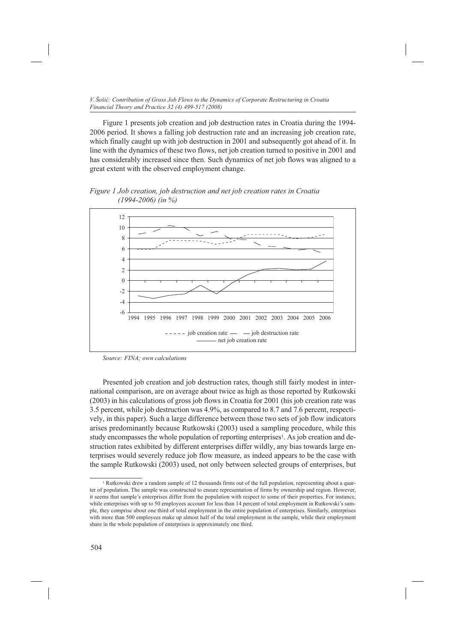Figure 1 presents job creation and job destruction rates in Croatia during the 1994- 2006 period. It shows a falling job destruction rate and an increasing job creation rate, which finally caught up with job destruction in 2001 and subsequently got ahead of it. In line with the dynamics of these two flows, net job creation turned to positive in 2001 and has considerably increased since then. Such dynamics of net job flows was aligned to a great extent with the observed employment change.

*Figure 1 Job creation, job destruction and net job creation rates in Croatia (1994-2006) (in %)*



*Source: FINA; own calculations*

Presented job creation and job destruction rates, though still fairly modest in international comparison, are on average about twice as high as those reported by Rutkowski (2003) in his calculations of gross job flows in Croatia for 2001 (his job creation rate was 3.5 percent, while job destruction was 4.9%, as compared to 8.7 and 7.6 percent, respectively, in this paper). Such a large difference between those two sets of job flow indicators arises predominantly because Rutkowski (2003) used a sampling procedure, while this study encompasses the whole population of reporting enterprises<sup>1</sup>. As job creation and destruction rates exhibited by different enterprises differ wildly, any bias towards large enterprises would severely reduce job flow measure, as indeed appears to be the case with the sample Rutkowski (2003) used, not only between selected groups of enterprises, but

<sup>&</sup>lt;sup>1</sup> Rutkowski drew a random sample of 12 thousands firms out of the full population, representing about a quarter of population. The sample was constructed to ensure representation of firms by ownership and region. However, it seems that sample's enterprises differ from the population with respect to some of their properties. For instance, while enterprises with up to 50 employees account for less than 14 percent of total employment in Rutkowski's sample, they comprise about one third of total employment in the entire population of enterprises. Similarly, enterprises with more than 500 employees make up almost half of the total employment in the sample, while their employment share in the whole population of enterprises is approximately one third.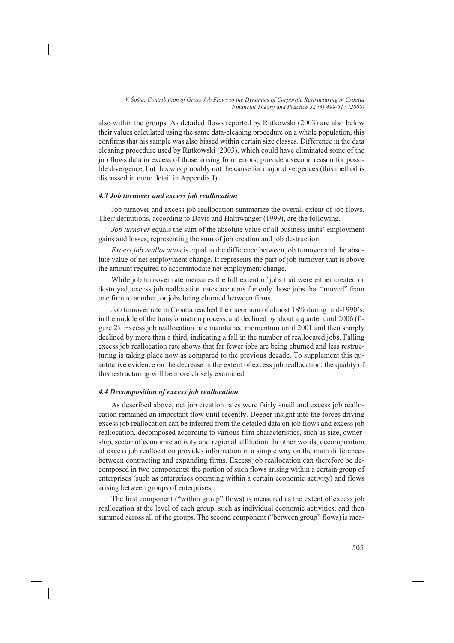also within the groups. As detailed flows reported by Rutkowski (2003) are also below their values calculated using the same data-cleaning procedure on a whole population, this confirms that his sample was also biased within certain size classes. Difference in the data cleaning procedure used by Rutkowski (2003), which could have eliminated some of the job flows data in excess of those arising from errors, provide a second reason for possible divergence, but this was probably not the cause for major divergences (this method is discussed in more detail in Appendix I).

## *4.3 Job turnover and excess job reallocation*

Job turnover and excess job reallocation summarize the overall extent of job flows. Their definitions, according to Davis and Haltiwanger (1999), are the following.

*Job turnover* equals the sum of the absolute value of all business units' employment gains and losses, representing the sum of job creation and job destruction.

*Excess job reallocation* is equal to the difference between job turnover and the absolute value of net employment change. It represents the part of job turnover that is above the amount required to accommodate net employment change.

While job turnover rate measures the full extent of jobs that were either created or destroyed, excess job reallocation rates accounts for only those jobs that "moved" from one firm to another, or jobs being churned between firms.

Job turnover rate in Croatia reached the maximum of almost 18% during mid-1990's, in the middle of the transformation process, and declined by about a quarter until 2006 (figure 2). Excess job reallocation rate maintained momentum until 2001 and then sharply declined by more than a third, indicating a fall in the number of reallocated jobs. Falling excess job reallocation rate shows that far fewer jobs are being churned and less restructuring is taking place now as compared to the previous decade. To supplement this quantitative evidence on the decrease in the extent of excess job reallocation, the quality of this restructuring will be more closely examined.

#### *4.4 Decomposition of excess job reallocation*

As described above, net job creation rates were fairly small and excess job reallocation remained an important flow until recently. Deeper insight into the forces driving excess job reallocation can be inferred from the detailed data on job flows and excess job reallocation, decomposed according to various firm characteristics, such as size, ownership, sector of economic activity and regional affiliation. In other words, decomposition of excess job reallocation provides information in a simple way on the main differences between contracting and expanding firms. Excess job reallocation can therefore be decomposed in two components: the portion of such flows arising within a certain group of enterprises (such as enterprises operating within a certain economic activity) and flows arising between groups of enterprises.

The first component ("within group" flows) is measured as the extent of excess job reallocation at the level of each group, such as individual economic activities, and then summed across all of the groups. The second component ("between group" flows) is mea-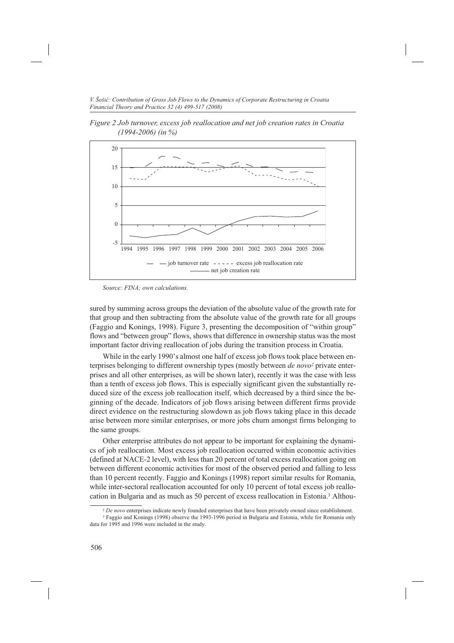*Figure 2 Job turnover, excess job reallocation and net job creation rates in Croatia (1994-2006) (in %)*



*Source: FINA; own calculations.*

sured by summing across groups the deviation of the absolute value of the growth rate for that group and then subtracting from the absolute value of the growth rate for all groups (Faggio and Konings, 1998). Figure 3, presenting the decomposition of "within group" flows and "between group" flows, shows that difference in ownership status was the most important factor driving reallocation of jobs during the transition process in Croatia.

While in the early 1990's almost one half of excess job flows took place between enterprises belonging to different ownership types (mostly between *de novo2* private enterprises and all other enterprises, as will be shown later), recently it was the case with less than a tenth of excess job flows. This is especially significant given the substantially reduced size of the excess job reallocation itself, which decreased by a third since the beginning of the decade. Indicators of job flows arising between different firms provide direct evidence on the restructuring slowdown as job flows taking place in this decade arise between more similar enterprises, or more jobs churn amongst firms belonging to the same groups.

Other enterprise attributes do not appear to be important for explaining the dynamics of job reallocation. Most excess job reallocation occurred within economic activities (defined at NACE-2 level), with less than 20 percent of total excess reallocation going on between different economic activities for most of the observed period and falling to less than 10 percent recently. Faggio and Konings (1998) report similar results for Romania, while inter-sectoral reallocation accounted for only 10 percent of total excess job reallocation in Bulgaria and as much as 50 percent of excess reallocation in Estonia.3 Althou-

<sup>2</sup> *De novo* enterprises indicate newly founded enterprises that have been privately owned since establishment.

<sup>3</sup> Faggio and Konings (1998) observe the 1993-1996 period in Bulgaria and Estonia, while for Romania only data for 1995 and 1996 were included in the study.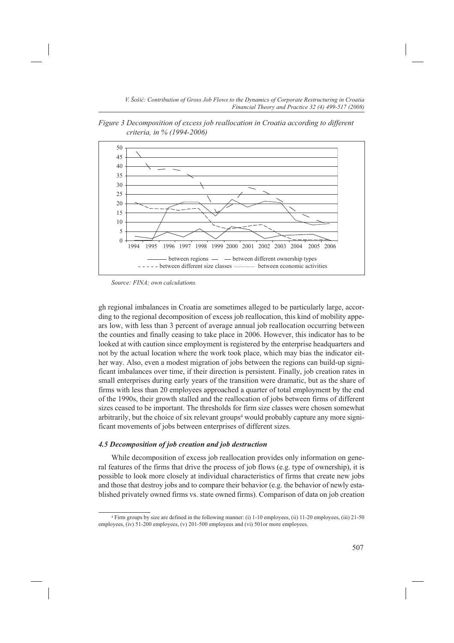*Figure 3 Decomposition of excess job reallocation in Croatia according to different criteria, in % (1994-2006)*



*Source: FINA; own calculations.*

gh regional imbalances in Croatia are sometimes alleged to be particularly large, according to the regional decomposition of excess job reallocation, this kind of mobility appears low, with less than 3 percent of average annual job reallocation occurring between the counties and finally ceasing to take place in 2006. However, this indicator has to be looked at with caution since employment is registered by the enterprise headquarters and not by the actual location where the work took place, which may bias the indicator either way. Also, even a modest migration of jobs between the regions can build-up significant imbalances over time, if their direction is persistent. Finally, job creation rates in small enterprises during early years of the transition were dramatic, but as the share of firms with less than 20 employees approached a quarter of total employment by the end of the 1990s, their growth stalled and the reallocation of jobs between firms of different sizes ceased to be important. The thresholds for firm size classes were chosen somewhat arbitrarily, but the choice of six relevant groups4 would probably capture any more significant movements of jobs between enterprises of different sizes.

## *4.5 Decomposition of job creation and job destruction*

While decomposition of excess job reallocation provides only information on general features of the firms that drive the process of job flows (e.g. type of ownership), it is possible to look more closely at individual characteristics of firms that create new jobs and those that destroy jobs and to compare their behavior (e.g. the behavior of newly established privately owned firms vs. state owned firms). Comparison of data on job creation

<sup>4</sup> Firm groups by size are defined in the following manner: (i) 1-10 employees, (ii) 11-20 employees, (iii) 21-50 employees, (iv) 51-200 employees, (v) 201-500 employees and (vi) 501or more employees.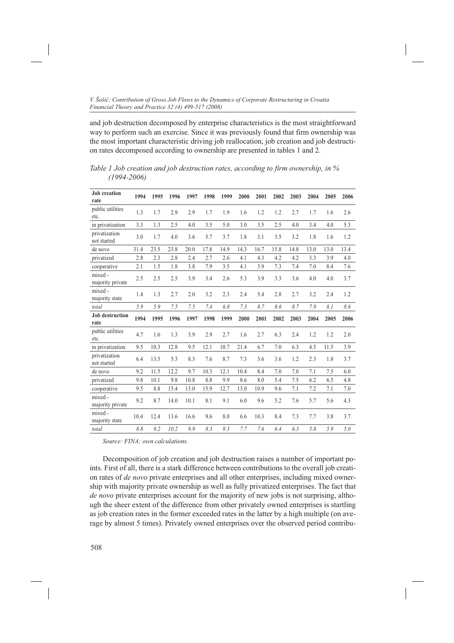and job destruction decomposed by enterprise characteristics is the most straightforward way to perform such an exercise. Since it was previously found that firm ownership was the most important characteristic driving job reallocation, job creation and job destruction rates decomposed according to ownership are presented in tables 1 and 2.

**Job creation rate 1994 1995 1996 1997 1998 1999 2000 2001 2002 2003 2004 2005 2006** public utilities etc. 1.3 1.7 2.9 2.9 1.7 1.9 1.6 1.2 1.2 2.7 1.7 1.6 2.6 in privatization 3.3 1.3 2.5 4.0 3.5 5.0 3.0 3.5 2.5 4.0 3.4 4.0 5.3 privatization not started 3.0 1.7 4.0 3.6 5.7 3.7 1.8 3.1 3.5 3.2 1.8 1.6 1.2 de novo 31.4 23.5 23.8 20.0 17.8 14.9 14.3 16.7 15.8 14.8 13.0 13.0 13.4 privatized 2.8 2.3 2.8 2.4 2.7 2.6 4.1 4.3 4.2 4.2 3.3 3.9 4.0 cooperative 2.1 1.5 1.8 3.8 7.9 3.5 4.1 3.9 7.3 7.4 7.0 8.4 7.6 mixed majority private 2.5 2.5 2.5 3.9 3.4 2.6 5.3 3.9 3.3 3.6 4.0 4.0 3.7 mixed majority state 1.4 1.3 2.7 2.0 3.2 2.3 2.4 5.4 2.8 2.7 3.2 2.4 1.2 *total 5.9 5.9 7.5 7.5 7.4 6.8 7.3 8.7 8.6 8.7 7.9 8.1 8.6* **Job destruction rate 1994 1995 1996 1997 1998 1999 2000 2001 2002 2003 2004 2005 2006** public utilities etc. 4.7 1.6 1.3 3.9 2.9 2.7 1.6 2.7 6.3 2.4 1.2 1.2 2.0 in privatization 9.5 10.3 12.8 9.5 12.1 10.7 21.4 6.7 7.0 6.3 4.5 11.5 3.9 privatization not started 6.4 13.5 5.3 8.3 7.6 8.7 7.3 3.6 3.6 1.2 2.3 1.8 3.7<br>not started de novo 9.2 11.5 12.2 9.7 10.3 12.1 10.4 8.4 7.0 7.0 7.1 7.5 6.0 privatized 9.8 10.1 9.8 10.8 8.8 9.9 8.6 8.0 5.4 7.5 6.2 6.5 4.8 cooperative 9.5 8.8 15.4 13.0 15.9 12.7 13.0 10.9 9.6 7.1 7.2 7.1 7.0 mixed majority private 9.2 8.7 14.0 10.1 8.1 9.1 6.0 9.6 5.2 7.6 5.7 5.6 4.3 mixed majority state 10.4 12.4 13.6 16.6 9.6 8.0 6.6 10.3 8.4 7.3 7.7 3.8 3.7 *total 8.8 9.2 10.2 9.9 8.3 9.3 7.7 7.6 6.4 6.3 5.8 5.9 5.0*

*Table 1 Job creation and job destruction rates, according to firm ownership, in % (1994-2006)*

*Source: FINA; own calculations.*

Decomposition of job creation and job destruction raises a number of important points. First of all, there is a stark difference between contributions to the overall job creation rates of *de novo* private enterprises and all other enterprises, including mixed ownership with majority private ownership as well as fully privatized enterprises. The fact that *de novo* private enterprises account for the majority of new jobs is not surprising, although the sheer extent of the difference from other privately owned enterprises is startling as job creation rates in the former exceeded rates in the latter by a high multiple (on average by almost 5 times). Privately owned enterprises over the observed period contribu-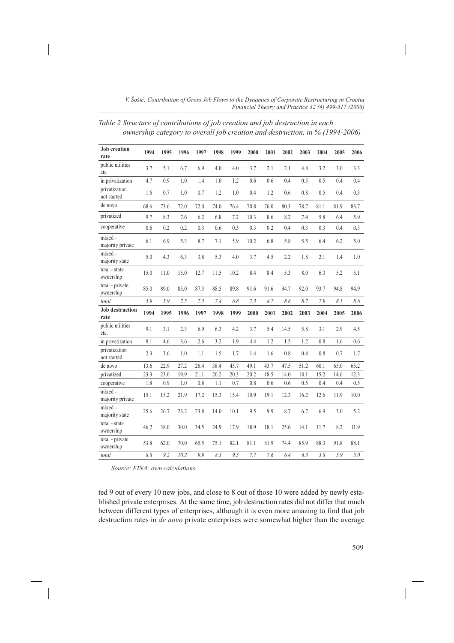*Table 2 Structure of contributions of job creation and job destruction in each ownership category to overall job creation and destruction, in % (1994-2006)*

| <b>Job</b> creation<br>rate    | 1994 | 1995 | 1996 | 1997 | 1998 | 1999 | 2000 | 2001 | 2002 | 2003 | 2004 | 2005 | 2006 |
|--------------------------------|------|------|------|------|------|------|------|------|------|------|------|------|------|
| public utilities<br>etc.       | 3.7  | 5.1  | 6.7  | 6.9  | 4.0  | 4.0  | 3.7  | 2.1  | 2.1  | 4.8  | 3.2  | 3.0  | 3.3  |
| in privatization               | 4.7  | 0.9  | 1.0  | 1.4  | 1.0  | 1.2  | 0.6  | 0.6  | 0.4  | 0.5  | 0.5  | 0.4  | 0.4  |
| privatization<br>not started   | 1.6  | 0.7  | 1.0  | 0.7  | 1.2  | 1.0  | 0.4  | 1.2  | 0.6  | 0.8  | 0.5  | 0.4  | 0.3  |
| de novo                        | 68.6 | 73.6 | 72.0 | 72.0 | 74.0 | 76.4 | 70.8 | 76.0 | 80.3 | 78.7 | 81.1 | 81.9 | 83.7 |
| privatized                     | 9.7  | 8.3  | 7.6  | 6.2  | 6.8  | 7.2  | 10.3 | 8.6  | 8.2  | 7.4  | 5.8  | 6.4  | 5.9  |
| cooperative                    | 0.6  | 0.2  | 0.2  | 0.3  | 0.6  | 0.3  | 0.3  | 0.2  | 0.4  | 0.3  | 0.3  | 0.4  | 0.3  |
| mixed -<br>majority private    | 6.1  | 6.9  | 5.3  | 8.7  | 7.1  | 5.9  | 10.2 | 6.8  | 5.8  | 5.5  | 6.4  | 6.2  | 5.0  |
| mixed -<br>majority state      | 5.0  | 4.3  | 6.3  | 3.8  | 5.3  | 4.0  | 3.7  | 4.5  | 2.2  | 1.8  | 2.1  | 1.4  | 1.0  |
| total - state<br>ownership     | 15.0 | 11.0 | 15.0 | 12.7 | 11.5 | 10.2 | 8.4  | 8.4  | 5.3  | 8.0  | 6.3  | 5.2  | 5.1  |
| total - private<br>ownership   | 85.0 | 89.0 | 85.0 | 87.3 | 88.5 | 89.8 | 91.6 | 91.6 | 94.7 | 92.0 | 93.7 | 94.8 | 94.9 |
| total                          | 5.9  | 5.9  | 7.5  | 7.5  | 7.4  | 6.8  | 7.3  | 8.7  | 8.6  | 8.7  | 7.9  | 8.1  | 8.6  |
| <b>Job</b> destruction<br>rate | 1994 | 1995 | 1996 | 1997 | 1998 | 1999 | 2000 | 2001 | 2002 | 2003 | 2004 | 2005 | 2006 |
| public utilities<br>etc.       | 9.1  | 3.1  | 2.3  | 6.9  | 6.3  | 4.2  | 3.7  | 5.4  | 14.5 | 5.8  | 3.1  | 2.9  | 4.5  |
| in privatization               | 9.1  | 4.6  | 3.6  | 2.6  | 3.2  | 1.9  | 4.4  | 1.2  | 1.5  | 1.2  | 0.8  | 1.6  | 0.6  |
| privatization<br>not started   | 2.3  | 3.6  | 1.0  | 1.1  | 1.5  | 1.7  | 1.4  | 1.6  | 0.8  | 0.4  | 0.8  | 0.7  | 1.7  |
| de novo                        | 13.6 | 22.9 | 27.2 | 26.4 | 38.4 | 45.7 | 49.1 | 43.7 | 47.5 | 51.2 | 60.1 | 65.0 | 65.2 |
| privatized                     | 23.3 | 23.0 | 19.9 | 21.1 | 20.2 | 20.3 | 20.2 | 18.5 | 14.0 | 18.1 | 15.2 | 14.6 | 12.3 |
| cooperative                    | 1.8  | 0.9  | 1.0  | 0.8  | 1.1  | 0.7  | 0.8  | 0.6  | 0.6  | 0.5  | 0.4  | 0.4  | 0.5  |
| mixed -<br>majority private    | 15.1 | 15.2 | 21.9 | 17.2 | 15.3 | 15.4 | 10.9 | 19.1 | 12.3 | 16.2 | 12.6 | 11.9 | 10.0 |
| mixed -<br>majority state      | 25.6 | 26.7 | 23.2 | 23.8 | 14.0 | 10.1 | 9.5  | 9.9  | 8.7  | 6.7  | 6.9  | 3.0  | 5.2  |
| total - state<br>ownership     | 46.2 | 38.0 | 30.0 | 34.5 | 24.9 | 17.9 | 18.9 | 18.1 | 25.6 | 14.1 | 11.7 | 8.2  | 11.9 |
| total - private<br>ownership   | 53.8 | 62.0 | 70.0 | 65.5 | 75.1 | 82.1 | 81.1 | 81.9 | 74.4 | 85.9 | 88.3 | 91.8 | 88.1 |
| total                          | 8.8  | 9.2  | 10.2 | 9.9  | 8.3  | 9.3  | 7.7  | 7.6  | 6.4  | 6.3  | 5.8  | 5.9  | 5.0  |

*Source: FINA; own calculations.*

ted 9 out of every 10 new jobs, and close to 8 out of those 10 were added by newly established private enterprises. At the same time, job destruction rates did not differ that much between different types of enterprises, although it is even more amazing to find that job destruction rates in *de novo* private enterprises were somewhat higher than the average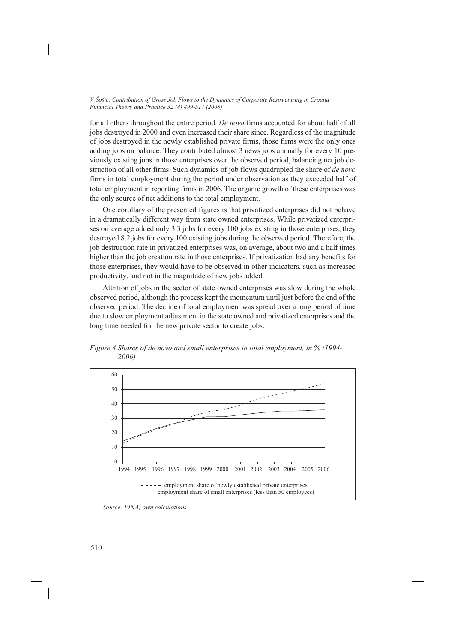for all others throughout the entire period. *De novo* firms accounted for about half of all jobs destroyed in 2000 and even increased their share since. Regardless of the magnitude of jobs destroyed in the newly established private firms, those firms were the only ones adding jobs on balance. They contributed almost 3 news jobs annually for every 10 previously existing jobs in those enterprises over the observed period, balancing net job destruction of all other firms. Such dynamics of job flows quadrupled the share of *de novo*  firms in total employment during the period under observation as they exceeded half of total employment in reporting firms in 2006. The organic growth of these enterprises was the only source of net additions to the total employment.

One corollary of the presented figures is that privatized enterprises did not behave in a dramatically different way from state owned enterprises. While privatized enterprises on average added only 3.3 jobs for every 100 jobs existing in those enterprises, they destroyed 8.2 jobs for every 100 existing jobs during the observed period. Therefore, the job destruction rate in privatized enterprises was, on average, about two and a half times higher than the job creation rate in those enterprises. If privatization had any benefits for those enterprises, they would have to be observed in other indicators, such as increased productivity, and not in the magnitude of new jobs added.

Attrition of jobs in the sector of state owned enterprises was slow during the whole observed period, although the process kept the momentum until just before the end of the observed period. The decline of total employment was spread over a long period of time due to slow employment adjustment in the state owned and privatized enterprises and the long time needed for the new private sector to create jobs.



*Figure 4 Shares of de novo and small enterprises in total employment, in % (1994- 2006)* 

*Source: FINA; own calculations.*

510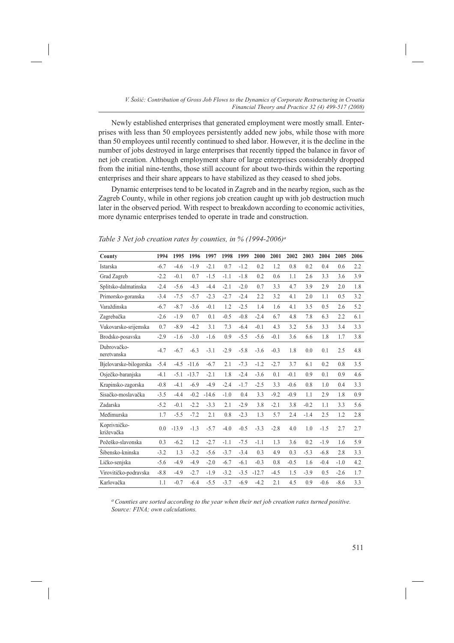Newly established enterprises that generated employment were mostly small. Enterprises with less than 50 employees persistently added new jobs, while those with more than 50 employees until recently continued to shed labor. However, it is the decline in the number of jobs destroyed in large enterprises that recently tipped the balance in favor of net job creation. Although employment share of large enterprises considerably dropped from the initial nine-tenths, those still account for about two-thirds within the reporting enterprises and their share appears to have stabilized as they ceased to shed jobs.

Dynamic enterprises tend to be located in Zagreb and in the nearby region, such as the Zagreb County, while in other regions job creation caught up with job destruction much later in the observed period. With respect to breakdown according to economic activities, more dynamic enterprises tended to operate in trade and construction.

|  | Table 3 Net job creation rates by counties, in $\%$ (1994-2006) <sup>a</sup> |  |  |  |
|--|------------------------------------------------------------------------------|--|--|--|
|--|------------------------------------------------------------------------------|--|--|--|

| County                     | 1994   | 1995    | 1996    | 1997    | 1998   | 1999   | 2000    | 2001   | 2002   | 2003   | 2004   | 2005   | 2006 |
|----------------------------|--------|---------|---------|---------|--------|--------|---------|--------|--------|--------|--------|--------|------|
| Istarska                   | $-6.7$ | $-4.6$  | $-1.9$  | $-2.1$  | 0.7    | $-1.2$ | 0.2     | 1.2    | 0.8    | 0.2    | 0.4    | 0.6    | 2.2  |
| Grad Zagreb                | $-2.2$ | $-0.1$  | 0.7     | $-1.5$  | $-1.1$ | $-1.8$ | 0.2     | 0.6    | 1.1    | 2.6    | 3.3    | 3.6    | 3.9  |
| Splitsko-dalmatinska       | $-2.4$ | $-5.6$  | $-4.3$  | $-4.4$  | $-2.1$ | $-2.0$ | 0.7     | 3.3    | 4.7    | 3.9    | 2.9    | 2.0    | 1.8  |
| Primorsko-goranska         | $-3.4$ | $-7.5$  | $-5.7$  | $-2.3$  | $-2.7$ | $-2.4$ | 2.2     | 3.2    | 4.1    | 2.0    | 1.1    | 0.5    | 3.2  |
| Varaždinska                | $-6.7$ | $-8.7$  | $-3.6$  | $-0.1$  | 1.2    | $-2.5$ | 1.4     | 1.6    | 4.1    | 3.5    | 0.5    | 2.6    | 5.2  |
| Zagrebačka                 | $-2.6$ | $-1.9$  | 0.7     | 0.1     | $-0.5$ | $-0.8$ | $-2.4$  | 6.7    | 4.8    | 7.8    | 6.3    | 2.2    | 6.1  |
| Vukovarsko-srijemska       | 0.7    | $-8.9$  | $-4.2$  | 3.1     | 7.3    | $-6.4$ | $-0.1$  | 4.3    | 3.2    | 5.6    | 3.3    | 3.4    | 3.3  |
| Brodsko-posavska           | $-2.9$ | $-1.6$  | $-3.0$  | $-1.6$  | 0.9    | $-5.5$ | $-5.6$  | $-0.1$ | 3.6    | 6.6    | 1.8    | 1.7    | 3.8  |
| Dubrovačko-<br>neretvanska | $-4.7$ | $-6.7$  | $-6.3$  | $-3.1$  | $-2.9$ | $-5.8$ | $-3.6$  | $-0.3$ | 1.8    | 0.0    | 0.1    | 2.5    | 4.8  |
| Bjelovarsko-bilogorska     | $-5.4$ | $-4.5$  | $-11.6$ | $-6.7$  | 2.1    | $-7.3$ | $-1.2$  | $-2.7$ | 3.7    | 6.1    | 0.2    | 0.8    | 3.5  |
| Osječko-baranjska          | $-4.1$ | $-5.1$  | $-13.7$ | $-2.1$  | 1.8    | $-2.4$ | $-3.6$  | 0.1    | $-0.1$ | 0.9    | 0.1    | 0.9    | 4.6  |
| Krapinsko-zagorska         | $-0.8$ | $-4.1$  | $-6.9$  | $-4.9$  | $-2.4$ | $-1.7$ | $-2.5$  | 3.3    | $-0.6$ | 0.8    | 1.0    | 0.4    | 3.3  |
| Sisačko-moslavačka         | $-3.5$ | $-4.4$  | $-0.2$  | $-14.6$ | $-1.0$ | 0.4    | 3.3     | $-9.2$ | $-0.9$ | 1.1    | 2.9    | 1.8    | 0.9  |
| Zadarska                   | $-5.2$ | $-0.1$  | $-2.2$  | $-3.3$  | 2.1    | $-2.9$ | 3.8     | $-2.1$ | 3.8    | $-0.2$ | 1.1    | 3.3    | 5.6  |
| Međimurska                 | 1.7    | $-5.5$  | $-7.2$  | 2.1     | 0.8    | $-2.3$ | 1.3     | 5.7    | 2.4    | $-1.4$ | 2.5    | 1.2    | 2.8  |
| Koprivničko-<br>križevačka | 0.0    | $-13.9$ | $-1.3$  | $-5.7$  | $-4.0$ | $-0.5$ | $-3.3$  | $-2.8$ | 4.0    | 1.0    | $-1.5$ | 2.7    | 2.7  |
| Požeško-slavonska          | 0.3    | $-6.2$  | 1.2     | $-2.7$  | $-1.1$ | $-7.5$ | $-1.1$  | 1.3    | 3.6    | 0.2    | $-1.9$ | 1.6    | 5.9  |
| Šibensko-kninska           | $-3.2$ | 1.3     | $-3.2$  | $-5.6$  | $-3.7$ | $-3.4$ | 0.3     | 4.9    | 0.3    | $-5.3$ | $-6.8$ | 2.8    | 3.3  |
| Ličko-senjska              | $-5.6$ | $-4.9$  | $-4.9$  | $-2.0$  | $-6.7$ | $-6.1$ | $-0.3$  | 0.8    | $-0.5$ | 1.6    | $-0.4$ | $-1.0$ | 4.2  |
| Virovitičko-podravska      | $-8.8$ | $-4.9$  | $-2.7$  | $-1.9$  | $-3.2$ | $-3.5$ | $-12.7$ | $-4.5$ | 1.5    | $-3.9$ | 0.5    | $-2.6$ | 1.7  |
| Karlovačka                 | 1.1    | $-0.7$  | $-6.4$  | $-5.5$  | $-3.7$ | $-6.9$ | $-4.2$  | 2.1    | 4.5    | 0.9    | $-0.6$ | $-8.6$ | 3.3  |

*a Counties are sorted according to the year when their net job creation rates turned positive. Source: FINA; own calculations.*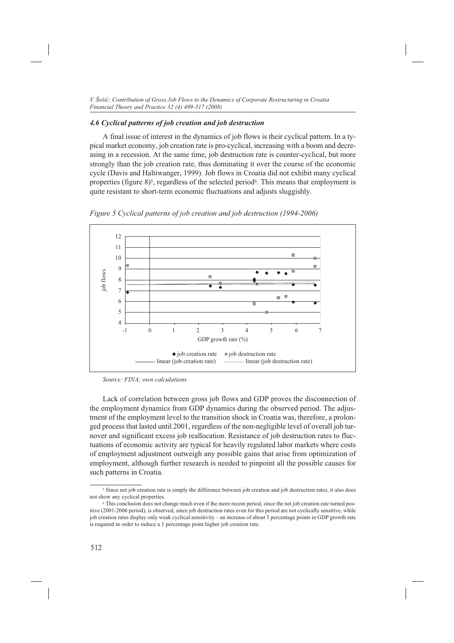# *4.6 Cyclical patterns of job creation and job destruction*

A final issue of interest in the dynamics of job flows is their cyclical pattern. In a typical market economy, job creation rate is pro-cyclical, increasing with a boom and decreasing in a recession. At the same time, job destruction rate is counter-cyclical, but more strongly than the job creation rate, thus dominating it over the course of the economic cycle (Davis and Haltiwanger, 1999). Job flows in Croatia did not exhibit many cyclical properties (figure 8)5, regardless of the selected period6. This means that employment is quite resistant to short-term economic fluctuations and adjusts sluggishly.



*Figure 5 Cyclical patterns of job creation and job destruction (1994-2006)*

Lack of correlation between gross job flows and GDP proves the disconnection of the employment dynamics from GDP dynamics during the observed period. The adjustment of the employment level to the transition shock in Croatia was, therefore, a prolonged process that lasted until 2001, regardless of the non-negligible level of overall job turnover and significant excess job reallocation. Resistance of job destruction rates to fluctuations of economic activity are typical for heavily regulated labor markets where costs of employment adjustment outweigh any possible gains that arise from optimization of employment, although further research is needed to pinpoint all the possible causes for such patterns in Croatia.

*Source: FINA; own calculations*

<sup>&</sup>lt;sup>5</sup> Since net job creation rate is simply the difference between job creation and job destruction rates, it also does not show any cyclical properties.

<sup>6</sup> This conclusion does not change much even if the more recent period, since the net job creation rate turned positive (2001-2006 period), is observed, since job destruction rates even for this period are not cyclically sensitive, while job creation rates display only weak cyclical sensitivity – an increase of about 3 percentage points in GDP growth rate is required in order to induce a 1 percentage point higher job creation rate.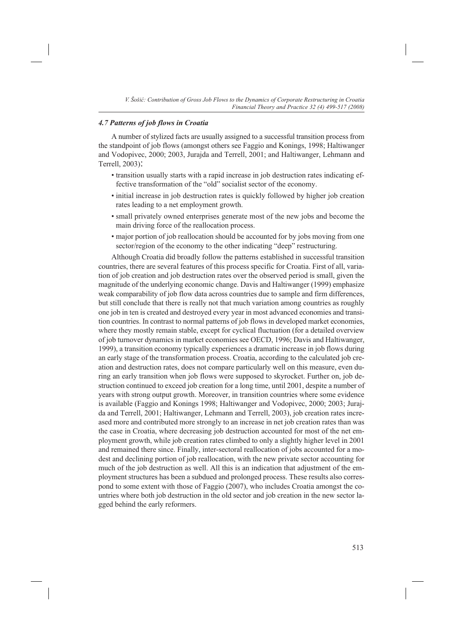# *4.7 Patterns of job flows in Croatia*

A number of stylized facts are usually assigned to a successful transition process from the standpoint of job flows (amongst others see Faggio and Konings, 1998; Haltiwanger and Vodopivec, 2000; 2003, Jurajda and Terrell, 2001; and Haltiwanger, Lehmann and Terrell, 2003):

- transition usually starts with a rapid increase in job destruction rates indicating effective transformation of the "old" socialist sector of the economy.
- initial increase in job destruction rates is quickly followed by higher job creation rates leading to a net employment growth.
- small privately owned enterprises generate most of the new jobs and become the main driving force of the reallocation process.
- major portion of job reallocation should be accounted for by jobs moving from one sector/region of the economy to the other indicating "deep" restructuring.

Although Croatia did broadly follow the patterns established in successful transition countries, there are several features of this process specific for Croatia. First of all, variation of job creation and job destruction rates over the observed period is small, given the magnitude of the underlying economic change. Davis and Haltiwanger (1999) emphasize weak comparability of job flow data across countries due to sample and firm differences, but still conclude that there is really not that much variation among countries as roughly one job in ten is created and destroyed every year in most advanced economies and transition countries. In contrast to normal patterns of job flows in developed market economies, where they mostly remain stable, except for cyclical fluctuation (for a detailed overview of job turnover dynamics in market economies see OECD, 1996; Davis and Haltiwanger, 1999), a transition economy typically experiences a dramatic increase in job flows during an early stage of the transformation process. Croatia, according to the calculated job creation and destruction rates, does not compare particularly well on this measure, even during an early transition when job flows were supposed to skyrocket. Further on, job destruction continued to exceed job creation for a long time, until 2001, despite a number of years with strong output growth. Moreover, in transition countries where some evidence is available (Faggio and Konings 1998; Haltiwanger and Vodopivec, 2000; 2003; Jurajda and Terrell, 2001; Haltiwanger, Lehmann and Terrell, 2003), job creation rates increased more and contributed more strongly to an increase in net job creation rates than was the case in Croatia, where decreasing job destruction accounted for most of the net employment growth, while job creation rates climbed to only a slightly higher level in 2001 and remained there since. Finally, inter-sectoral reallocation of jobs accounted for a modest and declining portion of job reallocation, with the new private sector accounting for much of the job destruction as well. All this is an indication that adjustment of the employment structures has been a subdued and prolonged process. These results also correspond to some extent with those of Faggio (2007), who includes Croatia amongst the countries where both job destruction in the old sector and job creation in the new sector lagged behind the early reformers.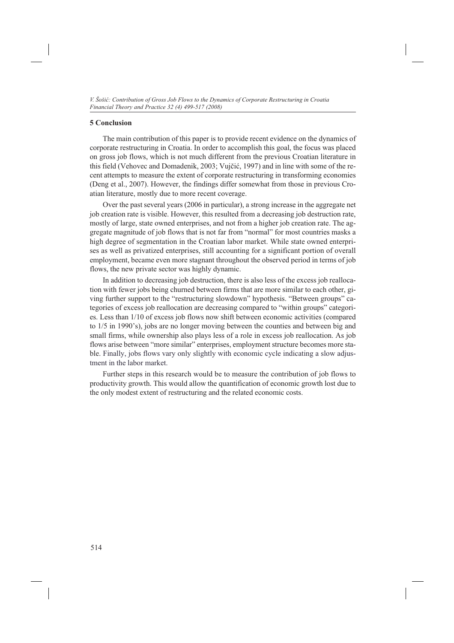# **5 Conclusion**

The main contribution of this paper is to provide recent evidence on the dynamics of corporate restructuring in Croatia. In order to accomplish this goal, the focus was placed on gross job flows, which is not much different from the previous Croatian literature in this field (Vehovec and Domadenik, 2003; Vujčić, 1997) and in line with some of the recent attempts to measure the extent of corporate restructuring in transforming economies (Deng et al., 2007). However, the findings differ somewhat from those in previous Croatian literature, mostly due to more recent coverage.

Over the past several years (2006 in particular), a strong increase in the aggregate net job creation rate is visible. However, this resulted from a decreasing job destruction rate, mostly of large, state owned enterprises, and not from a higher job creation rate. The aggregate magnitude of job flows that is not far from "normal" for most countries masks a high degree of segmentation in the Croatian labor market. While state owned enterprises as well as privatized enterprises, still accounting for a significant portion of overall employment, became even more stagnant throughout the observed period in terms of job flows, the new private sector was highly dynamic.

In addition to decreasing job destruction, there is also less of the excess job reallocation with fewer jobs being churned between firms that are more similar to each other, giving further support to the "restructuring slowdown" hypothesis. "Between groups" categories of excess job reallocation are decreasing compared to "within groups" categories. Less than 1/10 of excess job flows now shift between economic activities (compared to 1/5 in 1990's), jobs are no longer moving between the counties and between big and small firms, while ownership also plays less of a role in excess job reallocation. As job flows arise between "more similar" enterprises, employment structure becomes more stable. Finally, jobs flows vary only slightly with economic cycle indicating a slow adjustment in the labor market.

Further steps in this research would be to measure the contribution of job flows to productivity growth. This would allow the quantification of economic growth lost due to the only modest extent of restructuring and the related economic costs.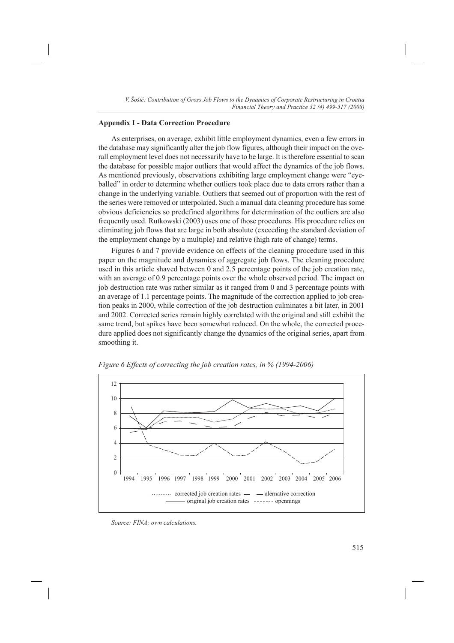# **Appendix I - Data Correction Procedure**

As enterprises, on average, exhibit little employment dynamics, even a few errors in the database may significantly alter the job flow figures, although their impact on the overall employment level does not necessarily have to be large. It is therefore essential to scan the database for possible major outliers that would affect the dynamics of the job flows. As mentioned previously, observations exhibiting large employment change were "eyeballed" in order to determine whether outliers took place due to data errors rather than a change in the underlying variable. Outliers that seemed out of proportion with the rest of the series were removed or interpolated. Such a manual data cleaning procedure has some obvious deficiencies so predefined algorithms for determination of the outliers are also frequently used. Rutkowski (2003) uses one of those procedures. His procedure relies on eliminating job flows that are large in both absolute (exceeding the standard deviation of the employment change by a multiple) and relative (high rate of change) terms.

Figures 6 and 7 provide evidence on effects of the cleaning procedure used in this paper on the magnitude and dynamics of aggregate job flows. The cleaning procedure used in this article shaved between 0 and 2.5 percentage points of the job creation rate, with an average of 0.9 percentage points over the whole observed period. The impact on job destruction rate was rather similar as it ranged from 0 and 3 percentage points with an average of 1.1 percentage points. The magnitude of the correction applied to job creation peaks in 2000, while correction of the job destruction culminates a bit later, in 2001 and 2002. Corrected series remain highly correlated with the original and still exhibit the same trend, but spikes have been somewhat reduced. On the whole, the corrected procedure applied does not significantly change the dynamics of the original series, apart from smoothing it.



*Figure 6 Effects of correcting the job creation rates, in % (1994-2006)*

*Source: FINA; own calculations.*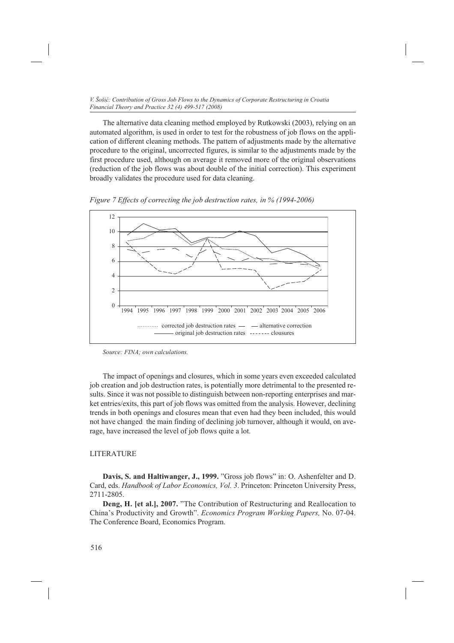The alternative data cleaning method employed by Rutkowski (2003), relying on an automated algorithm, is used in order to test for the robustness of job flows on the application of different cleaning methods. The pattern of adjustments made by the alternative procedure to the original, uncorrected figures, is similar to the adjustments made by the first procedure used, although on average it removed more of the original observations (reduction of the job flows was about double of the initial correction). This experiment broadly validates the procedure used for data cleaning.





*Source: FINA; own calculations.*

The impact of openings and closures, which in some years even exceeded calculated job creation and job destruction rates, is potentially more detrimental to the presented results. Since it was not possible to distinguish between non-reporting enterprises and market entries/exits, this part of job flows was omitted from the analysis. However, declining trends in both openings and closures mean that even had they been included, this would not have changed the main finding of declining job turnover, although it would, on average, have increased the level of job flows quite a lot.

## LITERATURE

**Davis, S. and Haltiwanger, J., 1999.** "Gross job flows" in: O. Ashenfelter and D. Card, eds. *Handbook of Labor Economics, Vol. 3*. Princeton: Princeton University Press, 2711-2805.

**Deng, H. [et al.], 2007.** "The Contribution of Restructuring and Reallocation to China's Productivity and Growth". *Economics Program Working Papers,* No. 07-04. The Conference Board, Economics Program.